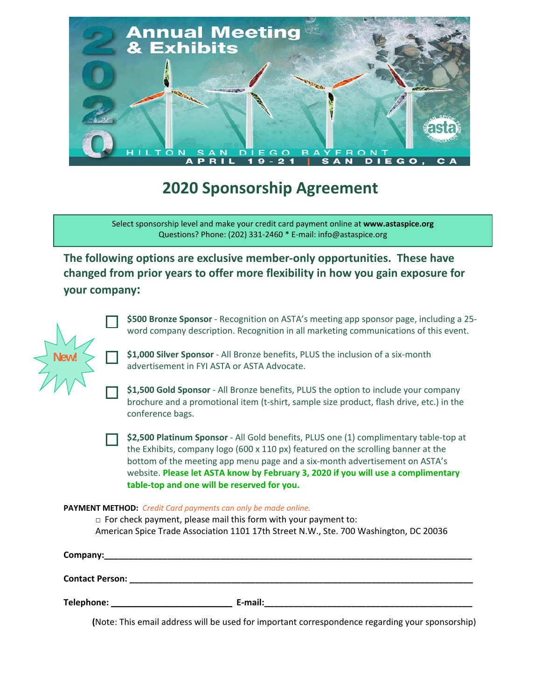

# **2020 Sponsorship Agreement**

Select sponsorship level and make your credit card payment online at **www.astaspice.org** Questions? Phone: (202) 331‐2460 \* E‐mail: info@astaspice.org

**The following options are exclusive member‐only opportunities. These have changed from prior years to offer more flexibility in how you gain exposure for your company:**

| \$500 Bronze Sponsor - Recognition on ASTA's meeting app sponsor page, including a 25- |
|----------------------------------------------------------------------------------------|
| word company description. Recognition in all marketing communications of this event.   |

**\$1,000 Silver Sponsor** ‐ All Bronze benefits, PLUS the inclusion of a six‐month advertisement in FYI ASTA or ASTA Advocate.

**\$1,500 Gold Sponsor** ‐ All Bronze benefits, PLUS the option to include your company brochure and a promotional item (t‐shirt, sample size product, flash drive, etc.) in the conference bags.

**\$2,500 Platinum Sponsor** ‐ All Gold benefits, PLUS one (1) complimentary table‐top at the Exhibits, company logo (600 x 110 px) featured on the scrolling banner at the bottom of the meeting app menu page and a six‐month advertisement on ASTA's website. **Please let ASTA know by February 3, 2020 if you will use a complimentary table‐top and one will be reserved for you.**

## **PAYMENT METHOD:** *Credit Card payments can only be made online.*

**New!** 

 $\Box$  For check payment, please mail this form with your payment to: American Spice Trade Association 1101 17th Street N.W., Ste. 700 Washington, DC 20036

| Company:               |         |
|------------------------|---------|
| <b>Contact Person:</b> |         |
| Telephone:             | E-mail: |

 **(**Note: This email address will be used for important correspondence regarding your sponsorship)